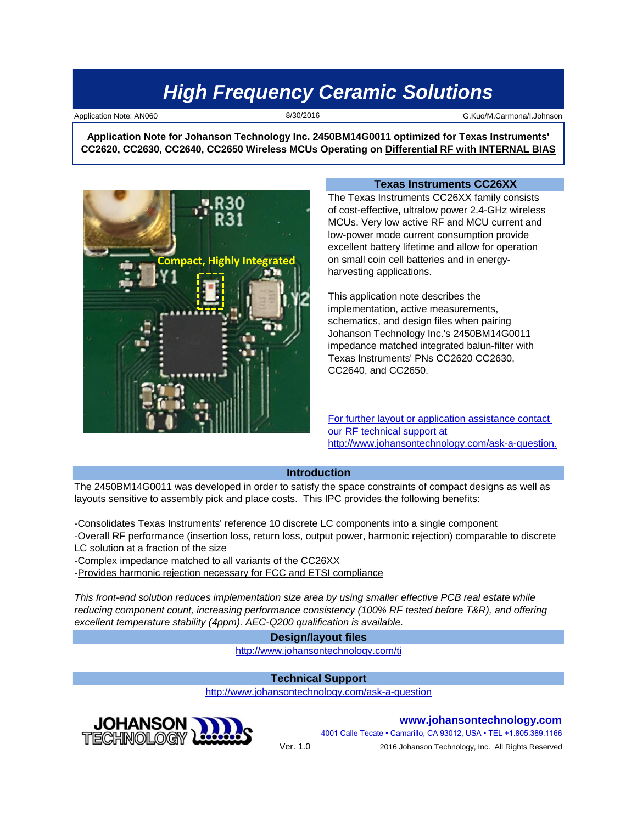8/30/2016

Application Note: AN060 **G.Kuo/M.Carmona/I.Johnson** B/30/2016 G.Kuo/M.Carmona/I.Johnson

**Application Note for Johanson Technology Inc. 2450BM14G0011 optimized for Texas Instruments' CC2620, CC2630, CC2640, CC2650 Wireless MCUs Operating on Differential RF with INTERNAL BIAS**



#### **Texas Instruments CC26XX**

The Texas Instruments CC26XX family consists of cost-effective, ultralow power 2.4-GHz wireless MCUs. Very low active RF and MCU current and low-power mode current consumption provide excellent battery lifetime and allow for operation on small coin cell batteries and in energyharvesting applications.

This application note describes the implementation, active measurements, schematics, and design files when pairing Johanson Technology Inc.'s 2450BM14G0011 impedance matched integrated balun-filter with Texas Instruments' PNs CC2620 CC2630, CC2640, and CC2650.

[For](http://www.johansontechnology.com/ask-a-question) further layout or application assistance contact [our](http://www.johansontechnology.com/ask-a-question) RF technical support at [http](http://www.johansontechnology.com/ask-a-question)://www.johansontechnology.com/ask-a-question.

#### **Introduction**

The 2450BM14G0011 was developed in order to satisfy the space constraints of compact designs as well as layouts sensitive to assembly pick and place costs. This IPC provides the following benefits:

-Consolidates Texas Instruments' reference 10 discrete LC components into a single component -Overall RF performance (insertion loss, return loss, output power, harmonic rejection) comparable to discrete LC solution at a fraction of the size

-Complex impedance matched to all variants of the CC26XX

-Provides harmonic rejection necessary for FCC and ETSI compliance

*This front-end solution reduces implementation size area by using smaller effective PCB real estate while reducing component count, increasing performance consistency (100% RF tested before T&R), and offering excellent temperature stability (4ppm). AEC-Q200 qualification is available.*

#### **Design/layout files**

[h](http://www.johansontechnology.com/ti)ttp://www.johansontechnology.com/ti

### **Technical Support**

[h](http://www.johansontechnology.com/ask-a-question)ttp://www.johansontechnology.com/ask-a-question



**www.johansontechnology.com** 4001 Calle Tecate • Camarillo, CA 93012, USA • TEL +1.805.389.1166

2016 Johanson Technology, Inc. All Rights Reserved

Ver. 1.0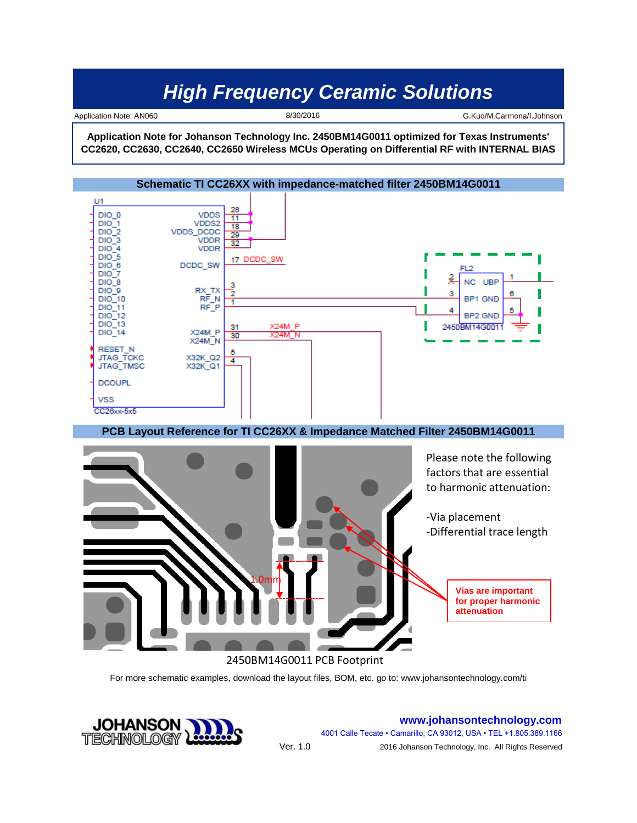8/30/2016

Application Note: AN060 **G.Kuo/M.Carmona/I.Johnson** B/30/2016 G.Kuo/M.Carmona/I.Johnson

**Application Note for Johanson Technology Inc. 2450BM14G0011 optimized for Texas Instruments' CC2620, CC2630, CC2640, CC2650 Wireless MCUs Operating on Differential RF with INTERNAL BIAS**



For more schematic examples, download the layout files, BOM, etc. go to: www.johansontechnology.com/ti

Ver. 1.0



**www.johansontechnology.com** 4001 Calle Tecate • Camarillo, CA 93012, USA • TEL +1.805.389.1166 2016 Johanson Technology, Inc. All Rights Reserved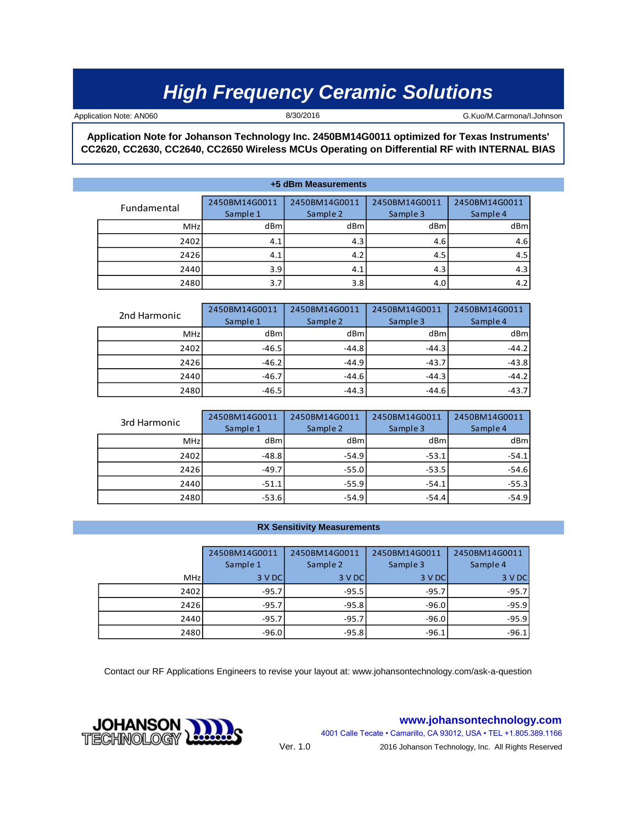8/30/2016

Application Note: AN060 **G.Kuo/M.Carmona/I.Johnson** 8/30/2016 **G.Kuo/M.Carmona/I.Johnson** 

**Application Note for Johanson Technology Inc. 2450BM14G0011 optimized for Texas Instruments' CC2620, CC2630, CC2640, CC2650 Wireless MCUs Operating on Differential RF with INTERNAL BIAS**

**+5 dBm Measurements**

| Fundamental | 2450BM14G0011 | 2450BM14G0011 | 2450BM14G0011 | 2450BM14G0011 |  |
|-------------|---------------|---------------|---------------|---------------|--|
|             | Sample 1      | Sample 2      | Sample 3      | Sample 4      |  |
| MHz         | dBml          | dBml          | dBm           | dBm           |  |
| 2402        | 4.1           | 4.3           | 4.6           | 4.6           |  |
| 2426        | 4.1           | 4.2           | 4.5           | 4.5           |  |
| 2440        | 3.9           | 4.1           | 4.3           | 4.3           |  |
| 2480        | 3.7           | 3.8           | 4.0           | 4.2           |  |

| 2nd Harmonic | 2450BM14G0011 | 2450BM14G0011 | 2450BM14G0011 | 2450BM14G0011 |  |
|--------------|---------------|---------------|---------------|---------------|--|
|              | Sample 1      | Sample 2      | Sample 3      | Sample 4      |  |
| <b>MHz</b>   | dBml          | dBml          | dBml          | dBml          |  |
| 2402         | $-46.5$       | $-44.8$       | $-44.3$       | $-44.2$       |  |
| 2426         | $-46.2$       | $-44.9$       | $-43.7$       | $-43.8$       |  |
| 2440         | $-46.7$       | $-44.6$       | $-44.3$       | $-44.2$       |  |
| 2480         | $-46.5$       | $-44.3$       | $-44.6$       | $-43.7$       |  |

| 3rd Harmonic | 2450BM14G0011<br>Sample 1 | 2450BM14G0011<br>Sample 2 | 2450BM14G0011<br>Sample 3 | 2450BM14G0011<br>Sample 4 |  |
|--------------|---------------------------|---------------------------|---------------------------|---------------------------|--|
| <b>MHz</b>   | dBml                      | dBm                       | dBml                      | dBm                       |  |
| 2402         | $-48.8$                   | $-54.9$                   | $-53.1$                   | $-54.1$                   |  |
| 2426         | $-49.7$                   | $-55.0$                   | $-53.5$                   | $-54.6$                   |  |
| 2440         | $-51.1$                   | $-55.9$                   | $-54.1$                   | $-55.3$                   |  |
| 2480         | $-53.6$                   | $-54.9$                   | $-54.4$                   | $-54.9$                   |  |

#### **RX Sensitivity Measurements**

|      | 2450BM14G0011 | 2450BM14G0011 | 2450BM14G0011 | 2450BM14G0011 |  |
|------|---------------|---------------|---------------|---------------|--|
|      | Sample 1      | Sample 2      | Sample 3      | Sample 4      |  |
| MHz  | 3 V DC        | 3 V DC        | 3 V DC        | 3 V DC        |  |
| 2402 | $-95.7$       | $-95.5$       | $-95.7$       | $-95.7$       |  |
| 2426 | $-95.7$       | $-95.8$       | $-96.0$       | $-95.9$       |  |
| 2440 | $-95.7$       | $-95.7$       | $-96.0$       | $-95.9$       |  |
| 2480 | $-96.0$       | $-95.8$       | $-96.1$       | $-96.1$       |  |

Contact our RF Applications Engineers to revise your layout at: www.johansontechnology.com/ask-a-question

**www.johansontechnology.com**

4001 Calle Tecate • Camarillo, CA 93012, USA • TEL +1.805.389.1166 2016 Johanson Technology, Inc. All Rights Reserved



Ver. 1.0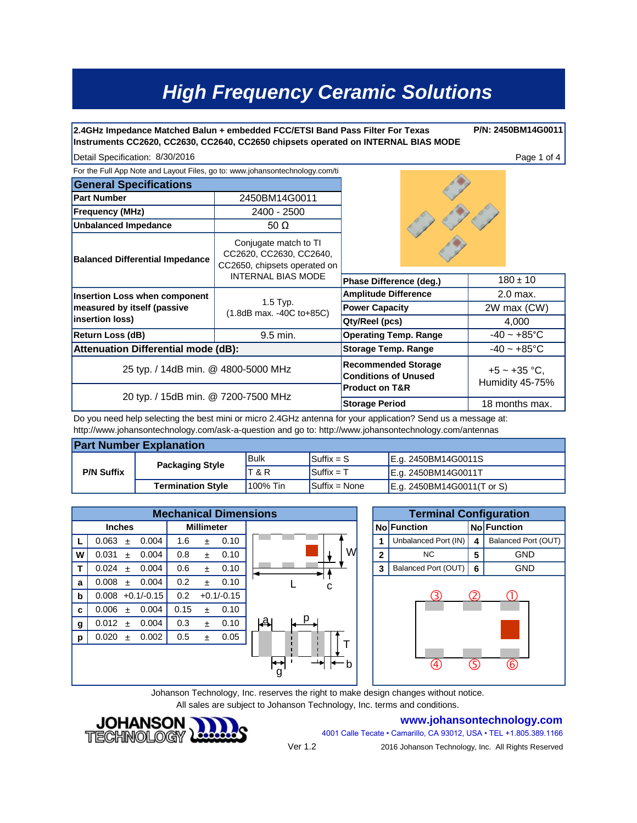**2.4GHz Impedance Matched Balun + embedded FCC/ETSI Band Pass Filter For Texas Instruments CC2620, CC2630, CC2640, CC2650 chipsets operated on INTERNAL BIAS MODE**

Detail Specification: Page 1 of 4 8/30/2016

**P/N: 2450BM14G0011**

| Detail Specification: 8/30/2016 |  |  |
|---------------------------------|--|--|
|---------------------------------|--|--|

| For the Full App Note and Layout Files, go to: www.johansontechnology.com/ti |                                                                                  |                                                           |  |                |                                      |
|------------------------------------------------------------------------------|----------------------------------------------------------------------------------|-----------------------------------------------------------|--|----------------|--------------------------------------|
| <b>General Specifications</b>                                                |                                                                                  |                                                           |  |                |                                      |
| <b>Part Number</b>                                                           | 2450BM14G0011                                                                    |                                                           |  |                |                                      |
| <b>Frequency (MHz)</b>                                                       | 2400 - 2500                                                                      |                                                           |  |                |                                      |
| <b>Unbalanced Impedance</b>                                                  | 50 $\Omega$                                                                      |                                                           |  |                |                                      |
| <b>Balanced Differential Impedance</b>                                       | Conjugate match to TI<br>CC2620, CC2630, CC2640,<br>CC2650, chipsets operated on |                                                           |  |                |                                      |
|                                                                              | <b>INTERNAL BIAS MODE</b>                                                        | Phase Difference (deg.)                                   |  | $180 \pm 10$   |                                      |
| <b>Insertion Loss when component</b>                                         |                                                                                  | <b>Amplitude Difference</b>                               |  |                | 2.0 max.                             |
| measured by itself (passive                                                  | $1.5$ Typ.<br>(1.8dB max. -40C to+85C)                                           | <b>Power Capacity</b>                                     |  |                | 2W max (CW)                          |
| insertion loss)                                                              |                                                                                  | Qty/Reel (pcs)                                            |  |                | 4,000                                |
| <b>Return Loss (dB)</b>                                                      | 9.5 min.                                                                         | <b>Operating Temp. Range</b>                              |  |                | $-40 - +85$ °C                       |
| <b>Attenuation Differential mode (dB):</b>                                   | <b>Storage Temp. Range</b>                                                       |                                                           |  | $-40 - +85$ °C |                                      |
| 25 typ. / 14dB min. @ 4800-5000 MHz<br>20 typ. / 15dB min. @ 7200-7500 MHz   |                                                                                  | <b>Recommended Storage</b><br><b>Conditions of Unused</b> |  |                | $+5 \sim +35$ °C,<br>Humidity 45-75% |
|                                                                              |                                                                                  | <b>Product on T&amp;R</b><br><b>Storage Period</b>        |  |                | 18 months max.                       |

Do you need help selecting the best mini or micro 2.4GHz antenna for your application? Send us a message at: http://www.johansontechnology.com/ask-a-question and go to: http://www.johansontechnology.com/antennas

| <b>Part Number Explanation</b> |                          |             |                                |                            |  |  |  |
|--------------------------------|--------------------------|-------------|--------------------------------|----------------------------|--|--|--|
| <b>P/N Suffix</b>              | <b>Packaging Style</b>   | <b>Bulk</b> | $\mathsf{Suffix} = \mathsf{S}$ | E.g. 2450BM14G0011S        |  |  |  |
|                                |                          | T & R       | $\sf ISuffix = T$              | E.g. 2450BM14G0011T        |  |  |  |
|                                | <b>Termination Style</b> | 100% Tin    | $Suffix = None$                | E.g. 2450BM14G0011(T or S) |  |  |  |

| <b>Mechanical Dimensions</b> |                             |                      |          | <b>Terminal Configuration</b> |                      |     |                     |
|------------------------------|-----------------------------|----------------------|----------|-------------------------------|----------------------|-----|---------------------|
|                              | <b>Inches</b>               | <b>Millimeter</b>    |          | <b>No Function</b>            |                      |     | <b>No Function</b>  |
|                              | 0.063<br>0.004<br>$\ddot{}$ | 0.10<br>1.6<br>$\pm$ |          |                               | Unbalanced Port (IN) | 4   | Balanced Port (OUT) |
| W                            | 0.004<br>0.031<br>$+$       | 0.8<br>0.10<br>$\pm$ | W        | $\overline{2}$                | NC.                  | 5   | <b>GND</b>          |
|                              | 0.004<br>0.024<br>$+$       | 0.6<br>0.10<br>$\pm$ |          | 3                             | Balanced Port (OUT)  | 6   | <b>GND</b>          |
| a                            | 0.008<br>0.004<br>$+$       | 0.2<br>0.10<br>$+$   | C        |                               |                      |     |                     |
| b                            | $0.008 + 0.1/-0.15$         | 0.2<br>$+0.1/-0.15$  |          |                               | 3)                   | (2) |                     |
| C                            | 0.004<br>$0.006 \pm$        | 0.15<br>0.10<br>$+$  |          |                               |                      |     |                     |
| g                            | 0.004<br>0.012<br>$+$       | 0.3<br>0.10<br>$+$   | ا په     |                               |                      |     |                     |
| p                            | 0.002<br>$0.020 \pm$        | 0.5<br>0.05<br>$\pm$ |          |                               |                      |     |                     |
|                              |                             |                      | ⊷<br>-b- |                               | 4                    | ග   | 6                   |

Johanson Technology, Inc. reserves the right to make design changes without notice. All sales are subject to Johanson Technology, Inc. terms and conditions.





4001 Calle Tecate • Camarillo, CA 93012, USA • TEL +1.805.389.1166 2016 Johanson Technology, Inc. All Rights Reserved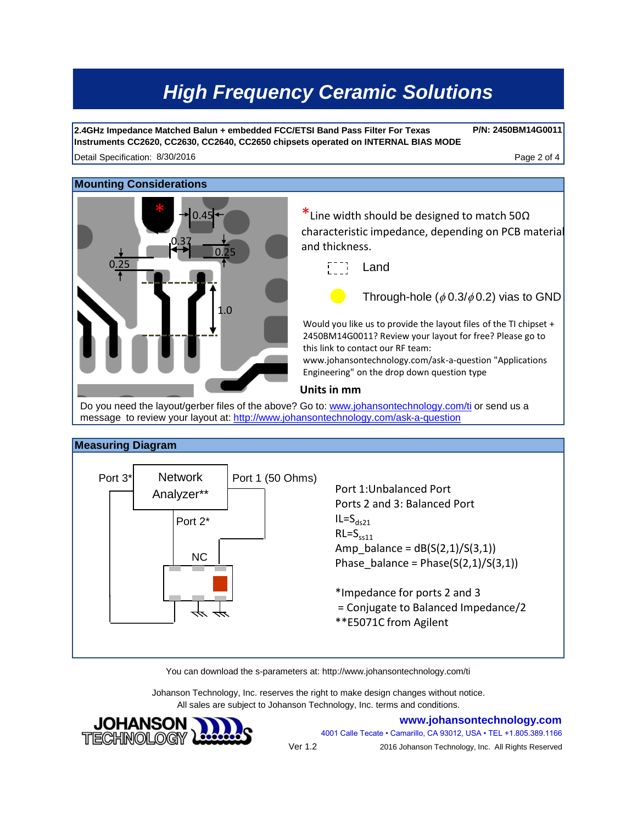**2.4GHz Impedance Matched Balun + embedded FCC/ETSI Band Pass Filter For Texas Instruments CC2620, CC2630, CC2640, CC2650 chipsets operated on INTERNAL BIAS MODE**

Detail Specification: 8/30/2016 **Contract Contract Contract Contract Contract Contract Contract Contract Contract Contract Contract Contract Contract Contract Contract Contract Contract Contract Contract Contract Contract** 

0.25

#### **Mounting Considerations**

0.45

0.37

1.0

 $0.25$ 

\*Line width should be designed to match 50 $\Omega$ characteristic impedance, depending on PCB material and thickness.

Land

Through-hole ( $\phi$  0.3/ $\phi$  0.2) vias to GND

**P/N: 2450BM14G0011**

Would you like us to provide the layout files of the TI chipset + 2450BM14G0011? Review your layout for free? Please go to this link to contact our RF team:

www.johansontechnology.com/ask-a-question "Applications Engineering" on the drop down question type

#### **Units in mm**

Do you need the layout/gerber files of the above? Go to: www.johansontechnology.com/ti or send us a message to review your layout at: http://www.johansontechnology.com/ask-a-question

#### **Measuring Diagram**



You can download the s-parameters at: http://www.johansontechnology.com/ti

Johanson Technology, Inc. reserves the right to make design changes without notice. All sales are subject to Johanson Technology, Inc. terms and conditions.



**www.johansontechnology.com**

4001 Calle Tecate • Camarillo, CA 93012, USA • TEL +1.805.389.1166 2016 Johanson Technology, Inc. All Rights Reserved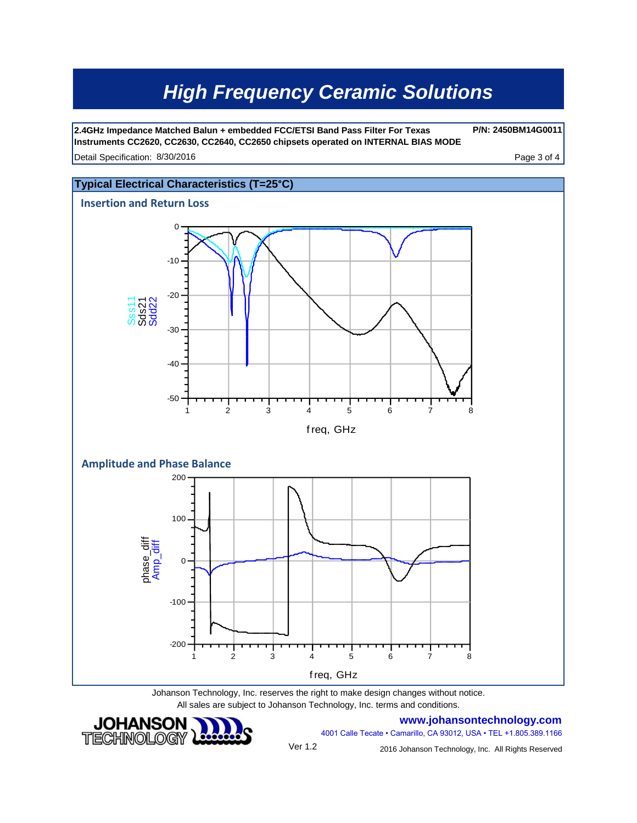Detail Specification: 8/30/2016 **Detail Specification: 8/30/2016 Page 3 of 4 Page 3 of 4 2.4GHz Impedance Matched Balun + embedded FCC/ETSI Band Pass Filter For Texas Instruments CC2620, CC2630, CC2640, CC2650 chipsets operated on INTERNAL BIAS MODE**

**P/N: 2450BM14G0011**



Johanson Technology, Inc. reserves the right to make design changes without notice. All sales are subject to Johanson Technology, Inc. terms and conditions.



**www.johansontechnology.com**

Ver 1.2

2016 Johanson Technology, Inc. All Rights Reserved

4001 Calle Tecate • Camarillo, CA 93012, USA • TEL +1.805.389.1166